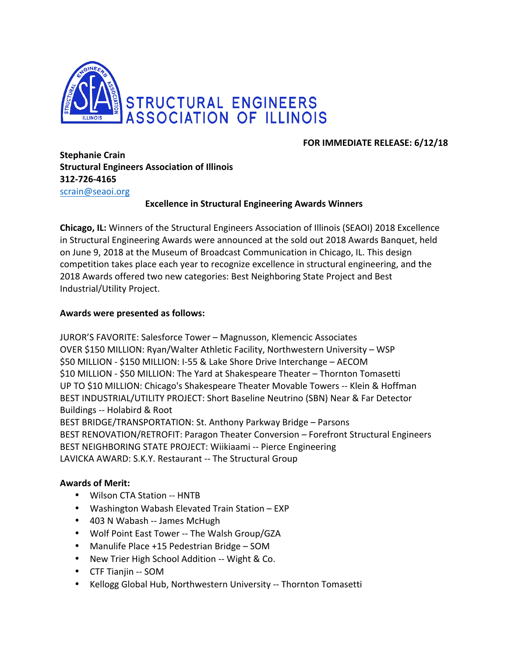

# **FOR IMMEDIATE RELEASE: 6/12/18**

**Stephanie Crain Structural Engineers Association of Illinois 312-726-4165**

scrain@seaoi.org

## **Excellence in Structural Engineering Awards Winners**

**Chicago, IL:** Winners of the Structural Engineers Association of Illinois (SEAOI) 2018 Excellence in Structural Engineering Awards were announced at the sold out 2018 Awards Banquet, held on June 9, 2018 at the Museum of Broadcast Communication in Chicago, IL. This design competition takes place each year to recognize excellence in structural engineering, and the 2018 Awards offered two new categories: Best Neighboring State Project and Best Industrial/Utility Project.

#### Awards were presented as follows:

JUROR'S FAVORITE: Salesforce Tower - Magnusson, Klemencic Associates OVER \$150 MILLION: Ryan/Walter Athletic Facility, Northwestern University – WSP \$50 MILLION - \$150 MILLION: I-55 & Lake Shore Drive Interchange - AECOM \$10 MILLION - \$50 MILLION: The Yard at Shakespeare Theater – Thornton Tomasetti UP TO \$10 MILLION: Chicago's Shakespeare Theater Movable Towers -- Klein & Hoffman BEST INDUSTRIAL/UTILITY PROJECT: Short Baseline Neutrino (SBN) Near & Far Detector Buildings -- Holabird & Root BEST BRIDGE/TRANSPORTATION: St. Anthony Parkway Bridge – Parsons BEST RENOVATION/RETROFIT: Paragon Theater Conversion – Forefront Structural Engineers BEST NEIGHBORING STATE PROJECT: Wiikiaami -- Pierce Engineering

LAVICKA AWARD: S.K.Y. Restaurant -- The Structural Group

## **Awards of Merit:**

- Wilson CTA Station -- HNTB
- Washington Wabash Elevated Train Station EXP
- 403 N Wabash -- James McHugh
- Wolf Point East Tower -- The Walsh Group/GZA
- Manulife Place +15 Pedestrian Bridge SOM
- New Trier High School Addition -- Wight & Co.
- CTF Tianiin -- SOM
- Kellogg Global Hub, Northwestern University -- Thornton Tomasetti